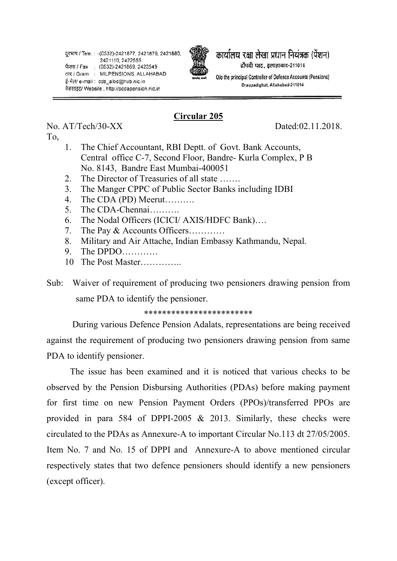

कार्यालय रक्षा लेखा प्रधान नियंत्रक (पेंशन) दौपदी घाट. इलाहाबाद-211014

O/o the principal Controller of Defence Accounts (Pensions) Draupadighat, Allahabad-211014

## **Circular 205**

No. AT/Tech/30-XX Dated:02.11.2018.

To,

- 1. The Chief Accountant, RBI Deptt. of Govt. Bank Accounts, Central office C-7, Second Floor, Bandre- Kurla Complex, P B No. 8143, Bandre East Mumbai-400051
- 2. The Director of Treasuries of all state …….
- 3. The Manger CPPC of Public Sector Banks including IDBI
- 4. The CDA (PD) Meerut……….
- 5. The CDA-Chennai……….
- 6. The Nodal Officers (ICICI/ AXIS/HDFC Bank)….
- 7. The Pay & Accounts Officers…………
- 8. Military and Air Attache, Indian Embassy Kathmandu, Nepal.
- 9. The DPDO…………
- 10 The Post Master

Sub: Waiver of requirement of producing two pensioners drawing pension from same PDA to identify the pensioner.

## \*\*\*\*\*\*\*\*\*\*\*\*\*\*\*\*\*\*\*\*\*\*\*\*

 During various Defence Pension Adalats, representations are being received against the requirement of producing two pensioners drawing pension from same PDA to identify pensioner.

The issue has been examined and it is noticed that various checks to be observed by the Pension Disbursing Authorities (PDAs) before making payment for first time on new Pension Payment Orders (PPOs)/transferred PPOs are provided in para 584 of DPPI-2005 & 2013. Similarly, these checks were circulated to the PDAs as Annexure-A to important Circular No.113 dt 27/05/2005. Item No. 7 and No. 15 of DPPI and Annexure-A to above mentioned circular respectively states that two defence pensioners should identify a new pensioners (except officer).